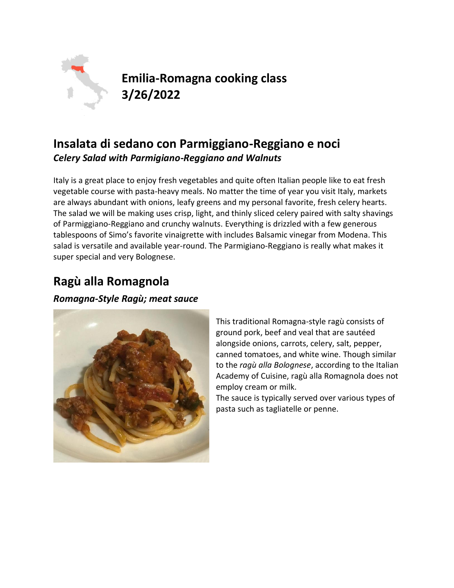

**Emilia-Romagna cooking class 3/26/2022**

## **Insalata di sedano con Parmiggiano-Reggiano e noci** *Celery Salad with Parmigiano-Reggiano and Walnuts*

Italy is a great place to enjoy fresh vegetables and quite often Italian people like to eat fresh vegetable course with pasta-heavy meals. No matter the time of year you visit Italy, markets are always abundant with onions, leafy greens and my personal favorite, fresh celery hearts. The salad we will be making uses crisp, light, and thinly sliced celery paired with salty shavings of Parmiggiano-Reggiano and crunchy walnuts. Everything is drizzled with a few generous tablespoons of Simo's favorite vinaigrette with includes Balsamic vinegar from Modena. This salad is versatile and available year-round. The Parmigiano-Reggiano is really what makes it super special and very Bolognese.

# **Ragù alla Romagnola**

*Romagna-Style Ragù; meat sauce*



This traditional Romagna-style ragù consists of ground pork, beef and veal that are sautéed alongside onions, carrots, celery, salt, pepper, canned tomatoes, and white wine. Though similar to the *ragù alla Bolognese*, according to the Italian Academy of Cuisine, ragù alla Romagnola does not employ cream or milk.

The sauce is typically served over various types of pasta such as tagliatelle or penne.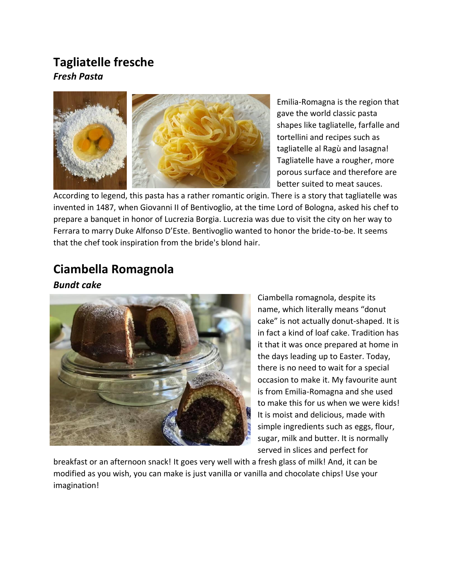### **Tagliatelle fresche** *Fresh Pasta*



Emilia-Romagna is the region that gave the world classic pasta shapes like tagliatelle, farfalle and tortellini and recipes such as tagliatelle al Ragù and lasagna! Tagliatelle have a rougher, more porous surface and therefore are better suited to meat sauces.

According to legend, this pasta has a rather romantic origin. There is a story that tagliatelle was invented in 1487, when Giovanni II of Bentivoglio, at the time Lord of Bologna, asked his chef to prepare a banquet in honor of Lucrezia Borgia. Lucrezia was due to visit the city on her way to Ferrara to marry Duke Alfonso D'Este. Bentivoglio wanted to honor the bride-to-be. It seems that the chef took inspiration from the bride's blond hair.

# **Ciambella Romagnola**

#### *Bundt cake*



Ciambella romagnola, despite its name, which literally means "donut cake" is not actually donut-shaped. It is in fact a kind of loaf cake. Tradition has it that it was once prepared at home in the days leading up to Easter. Today, there is no need to wait for a special occasion to make it. My favourite aunt is from Emilia-Romagna and she used to make this for us when we were kids! It is moist and delicious, made with simple ingredients such as eggs, flour, sugar, milk and butter. It is normally served in slices and perfect for

breakfast or an afternoon snack! It goes very well with a fresh glass of milk! And, it can be modified as you wish, you can make is just vanilla or vanilla and chocolate chips! Use your imagination!